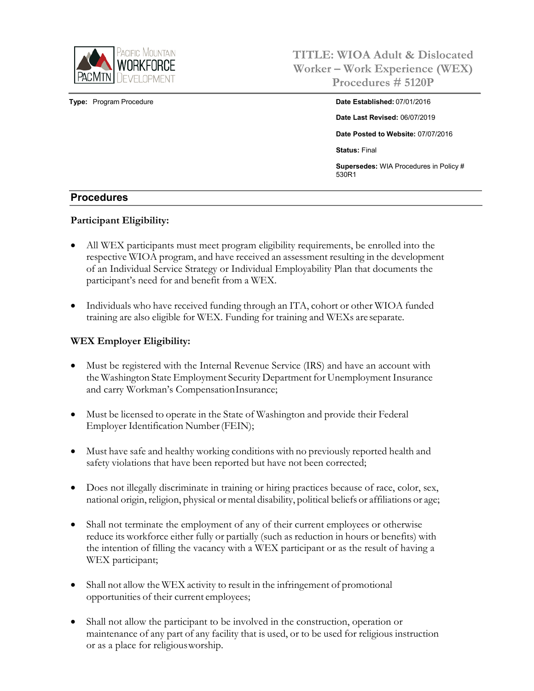

**TITLE: WIOA Adult & Dislocated Worker – Work Experience (WEX) Procedures # 5120P**

**Type:** Program Procedure **Date Established:** 07/01/2016 **Date Last Revised:** 06/07/2019 **Date Posted to Website:** 07/07/2016 **Status:** Final **Supersedes:** WIA Procedures in Policy # 530R1

#### **Procedures**

#### **Participant Eligibility:**

- All WEX participants must meet program eligibility requirements, be enrolled into the respective WIOA program, and have received an assessment resulting in the development of an Individual Service Strategy or Individual Employability Plan that documents the participant's need for and benefit from a WEX.
- Individuals who have received funding through an ITA, cohort or other WIOA funded training are also eligible for WEX. Funding for training and WEXs are separate.

#### **WEX Employer Eligibility:**

- Must be registered with the Internal Revenue Service (IRS) and have an account with the Washington State Employment Security Department for Unemployment Insurance and carry Workman's CompensationInsurance;
- Must be licensed to operate in the State of Washington and provide their Federal Employer Identification Number(FEIN);
- Must have safe and healthy working conditions with no previously reported health and safety violations that have been reported but have not been corrected;
- Does not illegally discriminate in training or hiring practices because of race, color, sex, national origin, religion, physical or mental disability, political beliefs or affiliations or age;
- Shall not terminate the employment of any of their current employees or otherwise reduce its workforce either fully or partially (such as reduction in hours or benefits) with the intention of filling the vacancy with a WEX participant or as the result of having a WEX participant;
- Shall not allow the WEX activity to result in the infringement of promotional opportunities of their current employees;
- Shall not allow the participant to be involved in the construction, operation or maintenance of any part of any facility that is used, or to be used for religious instruction or as a place for religiousworship.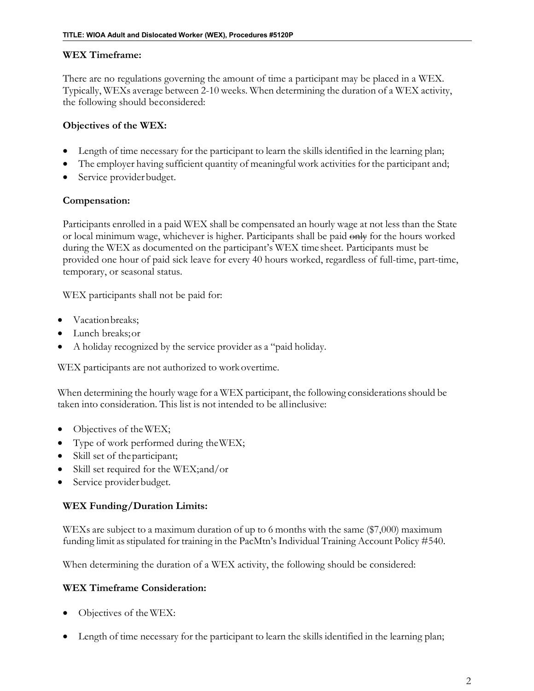### **WEX Timeframe:**

There are no regulations governing the amount of time a participant may be placed in a WEX. Typically, WEXs average between 2-10 weeks. When determining the duration of a WEX activity, the following should beconsidered:

## **Objectives of the WEX:**

- Length of time necessary for the participant to learn the skills identified in the learning plan;
- The employer having sufficient quantity of meaningful work activities for the participant and;
- Service provider budget.

## **Compensation:**

Participants enrolled in a paid WEX shall be compensated an hourly wage at not less than the State or local minimum wage, whichever is higher. Participants shall be paid only for the hours worked during the WEX as documented on the participant's WEX time sheet. Participants must be provided one hour of paid sick leave for every 40 hours worked, regardless of full-time, part-time, temporary, or seasonal status.

WEX participants shall not be paid for:

- Vacation breaks:
- Lunch breaks;or
- A holiday recognized by the service provider as a "paid holiday.

WEX participants are not authorized to work overtime.

When determining the hourly wage for a WEX participant, the following considerations should be taken into consideration. This list is not intended to be allinclusive:

- Objectives of theWEX;
- Type of work performed during theWEX;
- Skill set of the participant;
- Skill set required for the WEX;and/or
- Service provider budget.

## **WEX Funding/Duration Limits:**

WEXs are subject to a maximum duration of up to 6 months with the same (\$7,000) maximum funding limit as stipulated for training in the PacMtn's Individual Training Account Policy #540.

When determining the duration of a WEX activity, the following should be considered:

## **WEX Timeframe Consideration:**

- Objectives of theWEX:
- Length of time necessary for the participant to learn the skills identified in the learning plan;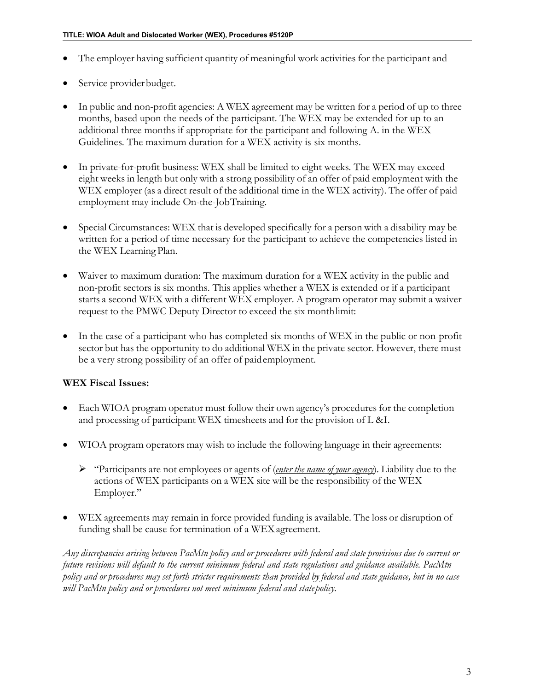- The employer having sufficient quantity of meaningful work activities for the participant and
- Service provider budget.
- In public and non-profit agencies: A WEX agreement may be written for a period of up to three months, based upon the needs of the participant. The WEX may be extended for up to an additional three months if appropriate for the participant and following A. in the WEX Guidelines. The maximum duration for a WEX activity is six months.
- In private-for-profit business: WEX shall be limited to eight weeks. The WEX may exceed eight weeks in length but only with a strong possibility of an offer of paid employment with the WEX employer (as a direct result of the additional time in the WEX activity). The offer of paid employment may include On-the-JobTraining.
- Special Circumstances: WEX that is developed specifically for a person with a disability may be written for a period of time necessary for the participant to achieve the competencies listed in the WEX Learning Plan.
- Waiver to maximum duration: The maximum duration for a WEX activity in the public and non-profit sectors is six months. This applies whether a WEX is extended or if a participant starts a second WEX with a different WEX employer. A program operator may submit a waiver request to the PMWC Deputy Director to exceed the six monthlimit:
- In the case of a participant who has completed six months of WEX in the public or non-profit sector but has the opportunity to do additional WEX in the private sector. However, there must be a very strong possibility of an offer of paidemployment.

## **WEX Fiscal Issues:**

- Each WIOA program operator must follow their own agency's procedures for the completion and processing of participant WEX timesheets and for the provision of L &I.
- WIOA program operators may wish to include the following language in their agreements:
	- "Participants are not employees or agents of (*enter the name of your agency*). Liability due to the actions of WEX participants on a WEX site will be the responsibility of the WEX Employer."
- WEX agreements may remain in force provided funding is available. The loss or disruption of funding shall be cause for termination of a WEX agreement.

Any discrepancies arising between PacMtn policy and or procedures with federal and state provisions due to current or *future revisions will default to the current minimum federal and state regulations and guidance available. PacMtn*  policy and or procedures may set forth stricter requirements than provided by federal and state guidance, but in no case *will PacMtn policy and or procedures not meet minimum federal and statepolicy.*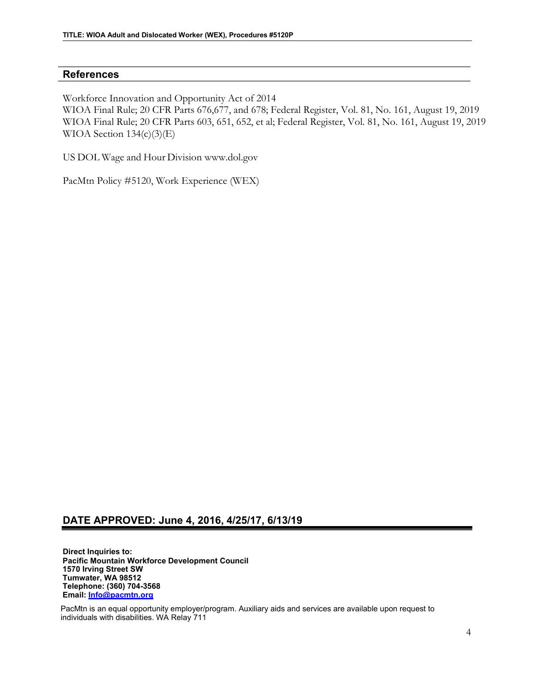#### **References**

Workforce Innovation and Opportunity Act of 2014

WIOA Final Rule; 20 CFR Parts 676,677, and 678; Federal Register, Vol. 81, No. 161, August 19, 2019 WIOA Final Rule; 20 CFR Parts 603, 651, 652, et al; Federal Register, Vol. 81, No. 161, August 19, 2019 WIOA Section  $134(c)(3)(E)$ 

US DOL Wage and Hour Division www.dol.gov

PacMtn Policy #5120, Work Experience (WEX)

## **DATE APPROVED: June 4, 2016, 4/25/17, 6/13/19**

**Direct Inquiries to: Pacific Mountain Workforce Development Council 1570 Irving Street SW Tumwater, WA 98512 Telephone: (360) 704-3568 Email: [Info@pacmtn.org](mailto:Info@pacmtn.org)**

PacMtn is an equal opportunity employer/program. Auxiliary aids and services are available upon request to individuals with disabilities. WA Relay 711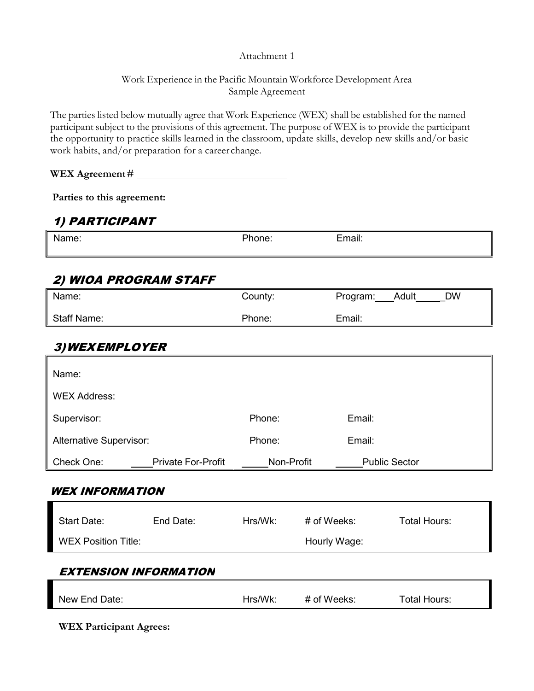#### Attachment 1

## Work Experience in the Pacific Mountain Workforce Development Area Sample Agreement

The parties listed below mutually agree that Work Experience (WEX) shall be established for the named participant subject to the provisions of this agreement. The purpose of WEX is to provide the participant the opportunity to practice skills learned in the classroom, update skills, develop new skills and/or basic work habits, and/or preparation for a career change.

**WEX Agreement#** 

**Parties to this agreement:**

## 1) PARTICIPANT

| N2<br>11 I I C<br>-------- | Ίc | $\sim$<br>$\sim$<br><b>uu</b><br>_________ |
|----------------------------|----|--------------------------------------------|
|                            |    |                                            |

# 2) WIOA PROGRAM STAFF

| Name:              | County: | <b>DW</b><br>Adult<br>Program: |
|--------------------|---------|--------------------------------|
| <b>Staff Name:</b> | Phone:  | Email:                         |

## 3)WEXEMPLOYER

| Name:                      |                           |            |              |                      |
|----------------------------|---------------------------|------------|--------------|----------------------|
| <b>WEX Address:</b>        |                           |            |              |                      |
| Supervisor:                |                           | Phone:     |              | Email:               |
| Alternative Supervisor:    |                           | Phone:     |              | Email:               |
| Check One:                 | <b>Private For-Profit</b> | Non-Profit |              | <b>Public Sector</b> |
| <b>WEX INFORMATION</b>     |                           |            |              |                      |
| <b>Start Date:</b>         | End Date:                 | Hrs/Wk:    | # of Weeks:  | <b>Total Hours:</b>  |
| <b>WEX Position Title:</b> |                           |            |              |                      |
|                            |                           |            | Hourly Wage: |                      |
| EXTENSION INFORMATION      |                           |            |              |                      |
|                            |                           |            |              |                      |

**WEX Participant Agrees:**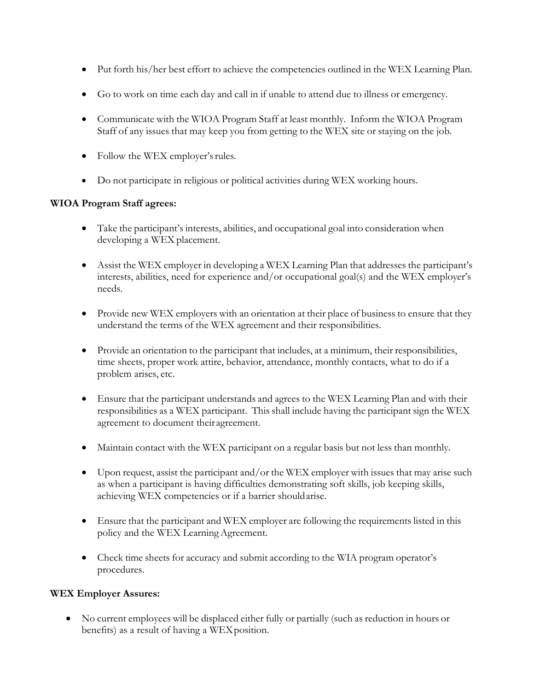- Put forth his/her best effort to achieve the competencies outlined in the WEX Learning Plan.
- Go to work on time each day and call in if unable to attend due to illness or emergency.
- Communicate with the WIOA Program Staff at least monthly. Inform the WIOA Program Staff of any issues that may keep you from getting to the WEX site or staying on the job.
- Follow the WEX employer's rules.
- Do not participate in religious or political activities during WEX working hours.

## **WIOA Program Staff agrees:**

- Take the participant's interests, abilities, and occupational goal into consideration when developing a WEX placement.
- Assist the WEX employer in developing a WEX Learning Plan that addresses the participant's interests, abilities, need for experience and/or occupational goal(s) and the WEX employer's needs.
- Provide new WEX employers with an orientation at their place of business to ensure that they understand the terms of the WEX agreement and their responsibilities.
- Provide an orientation to the participant that includes, at a minimum, their responsibilities, time sheets, proper work attire, behavior, attendance, monthly contacts, what to do if a problem arises, etc.
- Ensure that the participant understands and agrees to the WEX Learning Plan and with their responsibilities as a WEX participant. This shall include having the participant sign the WEX agreement to document theiragreement.
- Maintain contact with the WEX participant on a regular basis but not less than monthly.
- Upon request, assist the participant and/or the WEX employer with issues that may arise such as when a participant is having difficulties demonstrating soft skills, job keeping skills, achieving WEX competencies or if a barrier shouldarise.
- Ensure that the participant and WEX employer are following the requirements listed in this policy and the WEX LearningAgreement.
- Check time sheets for accuracy and submit according to the WIA program operator's procedures.

#### **WEX Employer Assures:**

• No current employees will be displaced either fully or partially (such as reduction in hours or benefits) as a result of having a WEXposition.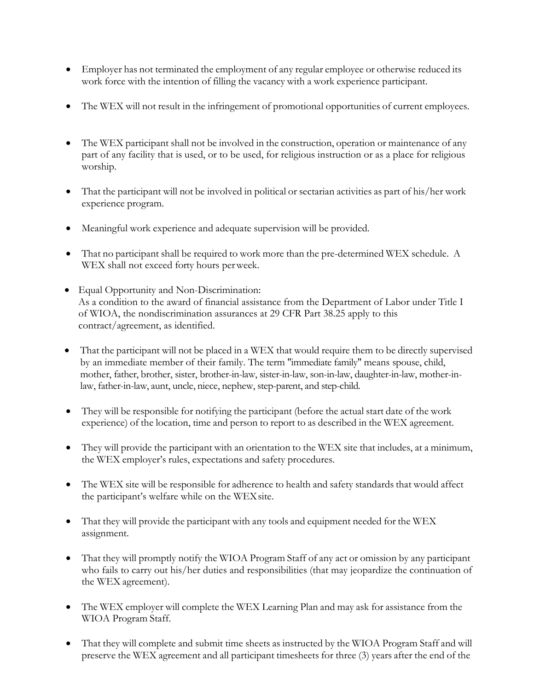- Employer has not terminated the employment of any regular employee or otherwise reduced its work force with the intention of filling the vacancy with a work experience participant.
- The WEX will not result in the infringement of promotional opportunities of current employees.
- The WEX participant shall not be involved in the construction, operation or maintenance of any part of any facility that is used, or to be used, for religious instruction or as a place for religious worship.
- That the participant will not be involved in political or sectarian activities as part of his/her work experience program.
- Meaningful work experience and adequate supervision will be provided.
- That no participant shall be required to work more than the pre-determined WEX schedule. A WEX shall not exceed forty hours perweek.
- Equal Opportunity and Non-Discrimination: As a condition to the award of financial assistance from the Department of Labor under Title I of WIOA, the nondiscrimination assurances at 29 CFR Part 38.25 apply to this contract/agreement, as identified.
- That the participant will not be placed in a WEX that would require them to be directly supervised by an immediate member of their family. The term "immediate family" means spouse, child, mother, father, brother, sister, brother-in-law, sister-in-law, son-in-law, daughter-in-law, mother-inlaw, father-in-law, aunt, uncle, niece, nephew, step-parent, and step-child.
- They will be responsible for notifying the participant (before the actual start date of the work experience) of the location, time and person to report to as described in the WEX agreement.
- They will provide the participant with an orientation to the WEX site that includes, at a minimum, the WEX employer's rules, expectations and safety procedures.
- The WEX site will be responsible for adherence to health and safety standards that would affect the participant's welfare while on the WEXsite.
- That they will provide the participant with any tools and equipment needed for the WEX assignment.
- That they will promptly notify the WIOA Program Staff of any act or omission by any participant who fails to carry out his/her duties and responsibilities (that may jeopardize the continuation of the WEX agreement).
- The WEX employer will complete the WEX Learning Plan and may ask for assistance from the WIOA Program Staff.
- That they will complete and submit time sheets as instructed by the WIOA Program Staff and will preserve the WEX agreement and all participant timesheets for three (3) years after the end of the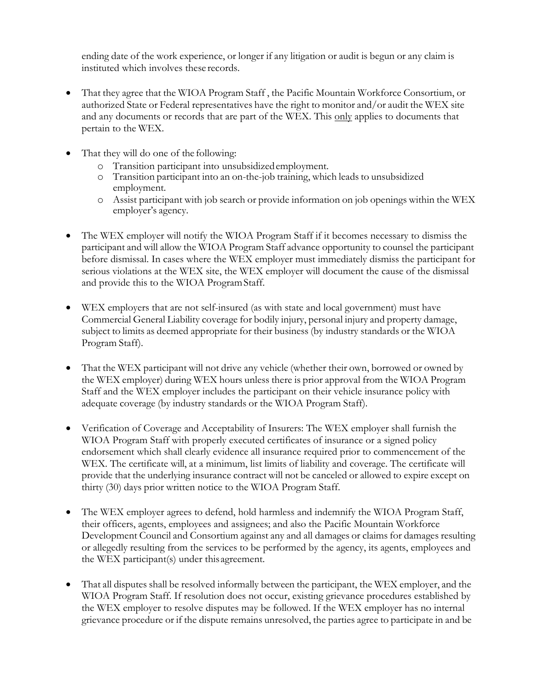ending date of the work experience, or longer if any litigation or audit is begun or any claim is instituted which involves these records.

- That they agree that the WIOA Program Staff , the Pacific Mountain Workforce Consortium, or authorized State or Federal representatives have the right to monitor and/or audit the WEX site and any documents or records that are part of the WEX. This only applies to documents that pertain to the WEX.
- That they will do one of the following:
	- o Transition participant into unsubsidizedemployment.
	- o Transition participant into an on-the-job training, which leads to unsubsidized employment.
	- o Assist participant with job search or provide information on job openings within the WEX employer's agency.
- The WEX employer will notify the WIOA Program Staff if it becomes necessary to dismiss the participant and will allow the WIOA Program Staff advance opportunity to counsel the participant before dismissal. In cases where the WEX employer must immediately dismiss the participant for serious violations at the WEX site, the WEX employer will document the cause of the dismissal and provide this to the WIOA ProgramStaff.
- WEX employers that are not self-insured (as with state and local government) must have Commercial General Liability coverage for bodily injury, personal injury and property damage, subject to limits as deemed appropriate for their business (by industry standards or the WIOA Program Staff).
- That the WEX participant will not drive any vehicle (whether their own, borrowed or owned by the WEX employer) during WEX hours unless there is prior approval from the WIOA Program Staff and the WEX employer includes the participant on their vehicle insurance policy with adequate coverage (by industry standards or the WIOA Program Staff).
- Verification of Coverage and Acceptability of Insurers: The WEX employer shall furnish the WIOA Program Staff with properly executed certificates of insurance or a signed policy endorsement which shall clearly evidence all insurance required prior to commencement of the WEX. The certificate will, at a minimum, list limits of liability and coverage. The certificate will provide that the underlying insurance contract will not be canceled or allowed to expire except on thirty (30) days prior written notice to the WIOA Program Staff.
- The WEX employer agrees to defend, hold harmless and indemnify the WIOA Program Staff, their officers, agents, employees and assignees; and also the Pacific Mountain Workforce Development Council and Consortium against any and all damages or claims for damages resulting or allegedly resulting from the services to be performed by the agency, its agents, employees and the WEX participant(s) under thisagreement.
- That all disputes shall be resolved informally between the participant, the WEX employer, and the WIOA Program Staff. If resolution does not occur, existing grievance procedures established by the WEX employer to resolve disputes may be followed. If the WEX employer has no internal grievance procedure or if the dispute remains unresolved, the parties agree to participate in and be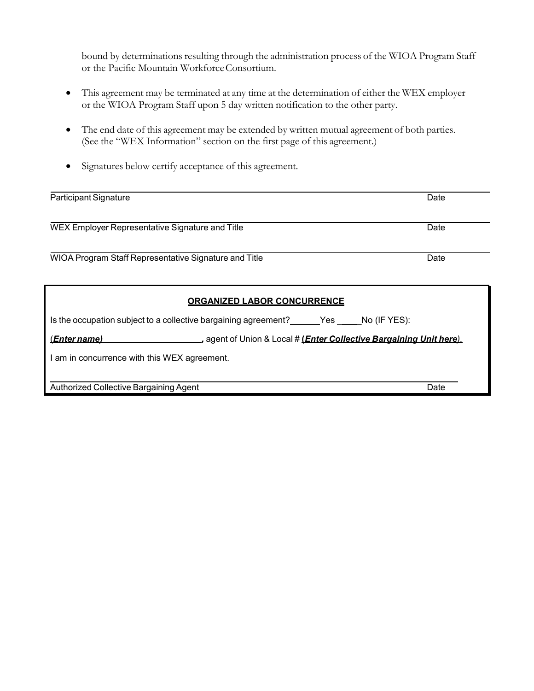bound by determinations resulting through the administration process of the WIOA Program Staff or the Pacific Mountain Workforce Consortium.

- This agreement may be terminated at any time at the determination of either the WEX employer or the WIOA Program Staff upon 5 day written notification to the other party.
- The end date of this agreement may be extended by written mutual agreement of both parties. (See the "WEX Information" section on the first page of this agreement.)
- Signatures below certify acceptance of this agreement.

| Participant Signature                                                                              | Date |  |  |  |
|----------------------------------------------------------------------------------------------------|------|--|--|--|
|                                                                                                    |      |  |  |  |
| WEX Employer Representative Signature and Title                                                    | Date |  |  |  |
|                                                                                                    |      |  |  |  |
| WIOA Program Staff Representative Signature and Title                                              | Date |  |  |  |
|                                                                                                    |      |  |  |  |
| <b>ORGANIZED LABOR CONCURRENCE</b>                                                                 |      |  |  |  |
| Is the occupation subject to a collective bargaining agreement? Yes No (IF YES):                   |      |  |  |  |
| <u>(Enter name)</u><br>_, agent of Union & Local # <u>(Enter Collective Bargaining Unit here).</u> |      |  |  |  |
| I am in concurrence with this WEX agreement.                                                       |      |  |  |  |
|                                                                                                    |      |  |  |  |
| Authorized Collective Bargaining Agent                                                             | Date |  |  |  |